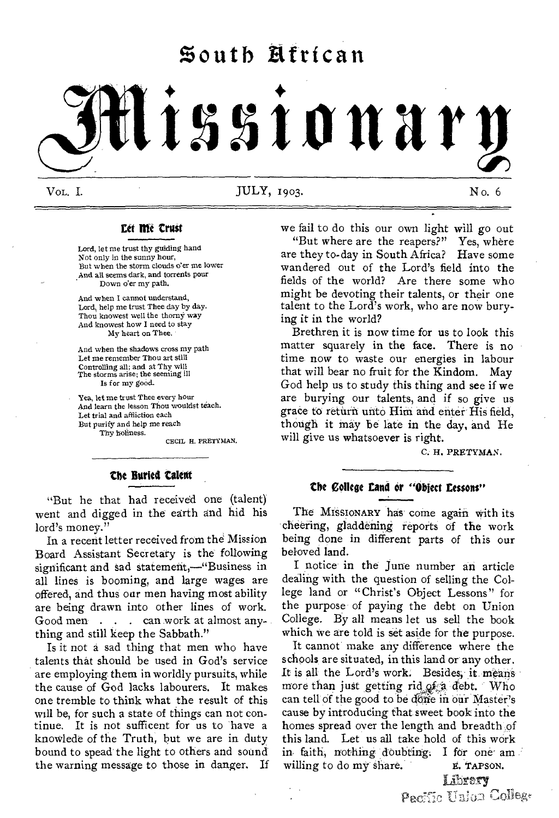# **South Ettrican**

# **tsstonary**

 $\rm WoL$ . I. No. 6 JULY, 1903. No. 6 No. 6

#### **Let Me Crust**

Lord, let me trust thy guiding hand Not only in the sunny hour, But when the storm clouds o'er me lower And all seems dark, and torrents pour Down o'er my path.

And when I cannot understand, Lord, help me trust Thee day by day. Thou knowest well the thorny way And knowest how I need to stay My heart on Thee.

And when the shadows cross my path Let me remember Thou art still Controlling all; and at Thy will The storms arise; the seeming ill Is for my good.

Yea, let me trust Thee every hour And learn the lesson Thou wouldst teach. Let trial and affliction each But purify and help me reach Thy holiness.

CECIL H. PRETYMAN.

#### **the Buried talent**

"But he that had received one (talent) went and digged in the earth and hid his lord's money."

In a recent letter received from the Mission Board Assistant Secretary is the following significant and sad statement,—"Business in all lines is booming, and large wages are offered, and thus our men having most ability are being drawn into other lines of work. Good men . . . can work at almost anything and still keep the Sabbath."

Is it not a sad thing that men who have talents that should be used in God's service are employing them in worldly pursuits, while the cause of God lacks labourers. It makes one tremble to think what the result of this will be, for such a state of things can not continue. It is not sufficent for us to have a knowlede of the Truth, hut we are in duty bound to spead the light to others and sound the warning message to those in danger. If we fail to do this our own light will go out

"But where are the reapers?" Yes, where are they to-day in South Africa? Have some wandered out of the Lord's field into the fields of the world? Are there some who might be devoting their talents, or their one talent to the Lord's work, who are now burying it in the world?

Brethren it is now time for us to look this matter squarely in the face. There is no time now to waste our energies in labour that will bear no fruit for the Kindom. May God help us to study this thing and see if we are burying our talents, and if so give us grace to return unto Him and enter His field, though it may be late in the day, and He will give us whatsoever is right.

C. H. PRETYMAN.

#### **the Collage Land or "Oblect Lessons"**

The MISSIONARY has come again with its cheering, gladdening reports of the work being done in different parts of this our beloved land.

I notice in the June number an article dealing with the question of selling the College land or "Christ's Object Lessons" for the purpose of paying the debt on Union College. By all means let us sell the book which we are told is set aside for the purpose.

It cannot make any difference where the schools are situated, in this land or any other. It is all the Lord's work. Besides, it means more than just getting rid of a debt. Who can tell of the good to be darie m our Master's cause by introducing that sweet book into the homes spread over the length and breadth of this land. Let us all take hold of this work in faith, nothing doubting. I for one ambuiling to do my share.  $\boldsymbol{\varepsilon}$ . TAPSON. willing to do my share.

Librery Pacific Union College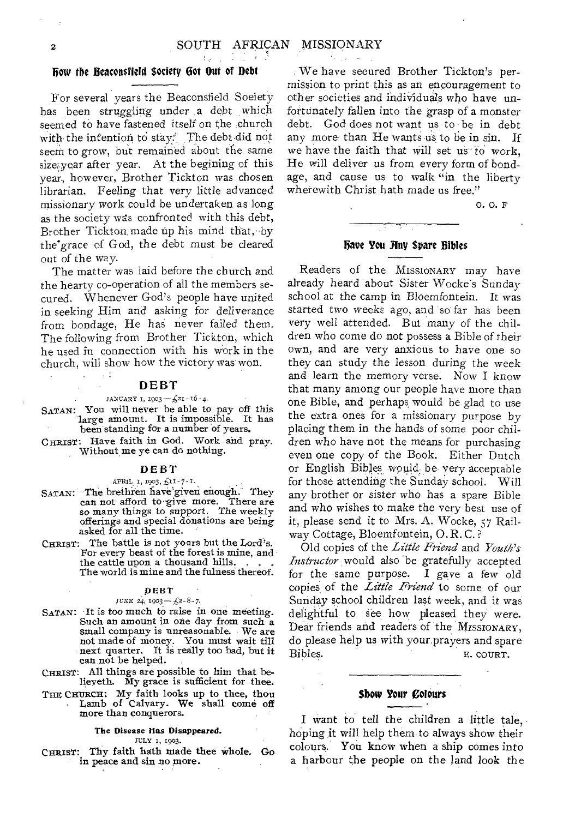#### Bow the Beaconsfield Society Dot Out of Debt

 $\mathcal{E}_{\mathcal{A}}$ 

For several years the Beaconsfield Soeiety has been struggling under a debt which seemed to have fastened itself on the church with the intention to stay. The debt did not seem to grow, but remained about the same size,year after year. At the begining of this year, however, Brother Tickton was chosen librarian. Feeling that very little advanced missionary work could be undertaken as long as the society was confronted with this debt, Brother Tickton made up his mind that, by the grace of God, the debt must be cleared out of the way.

The matter was laid before the church and the hearty co-operation of all the members secured. Whenever God's people have united in seeking Him and asking for deliverance from bondage, He has never failed them. The following from Brother Tickton, which he used in connection with his work in the church, will show how the victory was won.

#### DEBT

 $\sim$  1

#### $JANCARY I, 1903-f21-16-4.$

SATAN: You will never be able to pay off this large amount. It is impossible. It has been standing for a number of years.

CHRIST: Have faith in God. Work and pray. Without me ye can do nothing.

#### **DEBT**

#### APRIL  $\mathfrak{t}$ , 1903,  $\pounds$ II-7-I.

- SATAN: The brethren have given enough. They can not afford to give more. There are so many things to support. The weekly offerings and special donations are being asked for all the time.
- CHRIST: The battle is not yours but the Lord's. For every beast of the forest is mine, and the cattle upon a thousand hills. The world is mine and the fulness thereof.

#### DEBT

#### JUNE 24,  $1903 - 23 - 8 - 7$

- SATAN: 'It is too much to raise in one meeting. Such an amount in one day from such a small company is unreasonable. We are not made of money. You must wait till next quarter. It is really too bad, but it can, not be helped.
- CHRIST: All things are possible to him that believeth. My grace is sufficient for thee.
- THE CHURCH: My faith looks up to thee, thou<br>Lamb of Calvary. We shall come off more than conquerors.

#### The Disease Has Disappeared.

#### JULY 2, 1903.

CHRIST: Thy faith hath made thee whole. Go. in peace and sin no more.

We have secured Brother Tickton's permission to print this as an encouragement to other societies and individua/s who have unfortunately fallen into the grasp of a monster debt. God does not want us to be in debt any more than He wants us to be in sin. If we have the faith that will set us to work, He will deliver us from every form of bondage, and cause us to walk "in the liberty wherewith Christ hath made us free."

o. O. F

#### have You Huy Spare Bibles

Readers of the MISSIONARY may have already heard about Sister Wocke's Sunday school at the camp in Bloemfontein. It was started two weeks ago, and so far has been very well attended. But many of the children who come do not possess a Bible of their own, and are very anxious to have one so they can study the lesson during the week and learn the memory verse. Now I know that many among our people have more than one Bible, and perhaps would be glad to use the extra ones for a missionary purpose by placing them in the hands of some poor children who have not the means for purchasing even one copy of the Book. Either Dutch or English Bibles would be very acceptable for those attending the Sunday school. Will any brother or sister who has a spare Bible and who wishes to, make the very best use of it, please send it to Mrs. A. Wocke, 57 Railway Cottage, Bloemfontein, O. R. C. ?

Old copies of the *Little Friend* and *Youth's Instructor* would also 'be gratefully accepted for the same purpose. I gave a few old copies, of the *Little Friend* to some of our Sunday school children last week, and it was delightful to see how pleased they were. Dear friends and readers of the MISSIONARY, do please help us with your prayers and spare Bibles. E. COURT.

#### Show Your Colours

I want to tell the children a little tale, hoping it will help them to always show their colours. You know when a ship comes into a harbour the people on the land look the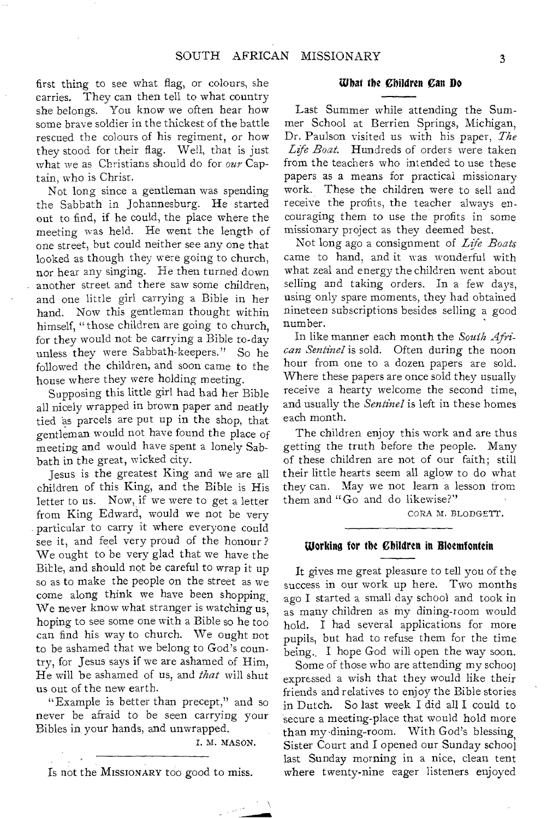first thing to see what flag, or colours, she carries. They can then tell to what country she belongs. You know we often hear how some brave soldier in the thickest of the battle rescued the colours of his regiment, or how they stood for their flag. Well, that is just what we as Christians should do for *our* Captain, who is Christ.

Not long since a gentleman was spending the Sabbath in Johannesburg. He started out to find, if he could, the place where the meeting was held. He went the length of one street, but could neither see any one that looked as though they were going to church, nor hear any singing. He then turned down another street and there saw some children, and one little girl carrying a Bible in her hand. Now this gentleman thought within himself, "those children are going to church, for they would not be carrying a Bible to-day unless they were Sabbath-keepers." So he followed the children, and soon came to the house where they were holding meeting.

Supposing this little girl had had her Bible all nicely wrapped in brown paper and neatly tied as parcels are put up in the shop, that gentleman would not have found the place of meeting and would have spent a lonely Sabbath in the great, wicked city.

Jesus is the greatest King and we are all children of this King, and the Bible is His letter to us. Now, if we were to get a letter from King Edward, would we not be very particular to carry it where everyone could see it, and feel very proud of the honour? We ought to be very glad that we have the Bible, and should not be careful to wrap it up so as to make the people on the street as we come along think we have been shopping. We never know what stranger is watching us, hoping to see some one with a Bible so he too can find his way to church. We ought not to be ashamed that we belong to God's country, for Jesus says if we are ashamed of Him, He will be ashamed of us, and *that* will shut us out of the new earth.

"Example is better than precept," and so never be afraid to be seen carrying your Bibles in your hands, and unwrapped.

I. M. MASON.

Is not the MISSIONARY too good to miss.

#### What the Children Can Do

Last Summer while attending the Summer School at Berrien Springs, Michigan, Dr. Paulson visited us with his paper, *The Life Boat.* Hundreds of orders were taken from the teachers who intended to use these papers as a means for practical missionary work. These the children were to sell and receive the profits, the teacher always encouraging them to use the profits in some missionary project as they deemed best.

Not long ago a consignment of *Life Boats*  came to hand, and it was wonderful with what zeal and energy the children went about selling and taking orders. In a few days, using only spare moments, they had obtained nineteen subscriptions besides selling a good number.

In like manner each month the *South African Sentinel* is sold. Often during the noon hour from one to a dozen papers are sold. Where these papers are once sold they usually receive a hearty welcome the second time, and usually the *Sentinel* is left in these homes each month.

The children enjoy this work and are thus getting the truth before the people. Many of these children are not of our faith; still their little hearts seem all aglow to do what they can. May we not learn a lesson from them and "Go and do likewise?"

CORA M. BLODGETT.

#### Working for the Children in Bloemfontein

It gives me great pleasure to tell you of the success in our work up here. Two months ago I started a small day school and took in as many children as my dining-room would hold. I had several applications for more pupils, but had to refuse them for the time being.. I hope God will open the way soon.

Some of those who are attending my school expressed a wish that they would like their friends and relatives to enjoy the Bible stories in Dutch. So last week I did all I could to secure a meeting-place that would hold more than my dining-room. With God's blessing, Sister Court and I opened our Sunday school last Sunday morning in a nice, clean tent where twenty-nine eager listeners enjoyed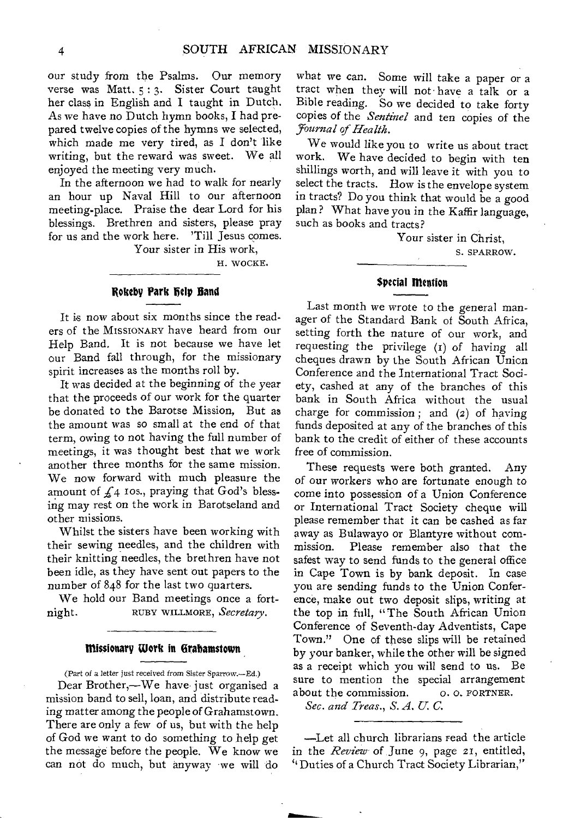our study from the Psalms. Our memory verse was Matt. 5 : 3. Sister Court taught her class in English and I taught in Dutch. As we have no Dutch hymn books, I had prepared twelve copies of the hymns we selected, which made me very tired, as I don't like writing, but the reward was sweet. We all enjoyed the meeting very much.

In the afternoon we had to walk for nearly an hour up Naval Hill to our afternoon meeting-place. Praise the dear Lord for his blessings. Brethren and sisters, please pray for us and the work here. 'Till Jesus comes.

Your sister in His work,

H. WOCKE.

#### **Rokeby Park help Band**

It is now about six months since the readers of the MISSIONARY have heard from our Help Band. It is not because we have let our Band fall through, for the missionary spirit increases as the months roll by.

It was decided at the beginning of the year that the proceeds of our work for the quarter be donated to the Barotse Mission, But as the amount was so small at the end of that term, owing to not having the full number of meetings, it was thought best that we work another three months for the same mission. We now forward with much pleasure the amount of  $f_4$  ros., praying that God's blessing may rest on the work in Barotseland and other missions.

Whilst the sisters have been working with their sewing needles, and the children with their knitting needles, the brethren have not been idle, as they have sent out papers to the number of 848 for the last two quarters.

We hold our Band meetings once a fortnight. RUBY WILLMORE, *Secretary.* 

#### **missionary Work in Grahamstown**

(Part of a letter just received from Sister Sparrow.—Ed.) Dear Brother,—We have just organised a mission band to sell, loan, and distribute reading matter among the people of Grahamstown. There are only a few of us, but with the help of God we want to do something to help get the message before the people. We know we can not do much, but anyway we will do

what we can. Some will take a paper or a tract when they will not have a talk or a Bible reading. So we decided to take forty copies of the *Sentinel* and ten copies of the *yournal of Health.* 

We would like you to write us about tract work. We have decided to begin with ten shillings worth, and will leave it with you to select the tracts. How is the envelope system in tracts? Do you think that would be a good plan ? What have you in the Kaffir language, such as books and tracts?

> Your sister in Christ, S. SPARROW.

#### **Special mention**

Last month we wrote to the general manager of the Standard Bank of South Africa, setting forth the nature of our work, and requesting the privilege (I) of having all cheques drawn by the South African Union Conference and the International Tract Society, cashed at any of the branches of this bank in South Africa without the usual charge for commission ; and (2) of having funds deposited at any of the branches of this bank to the credit of either of these accounts free of commission.

These requests were both granted. Any of our workers who are fortunate enough to come into possession of a Union Conference or International Tract Society cheque will please remember that it can be cashed as far away as Bulawayo or Blantyre without commission. Please remember also that the safest way to send funds to the general office in Cape Town is by bank deposit. In case you are sending funds to the Union Conference, make out two deposit slips, writing at the top in full, "The South African Union Conference of Seventh-day Adventists, Cape Town." One of these slips will be retained by your banker, while the other will be signed as a receipt which you will send to us. Be sure to mention the special arrangement about the commission.

*Sec. and Treas., S. A. U. C.* 

—Let all church librarians read the article in the *Review* of June 9, page 21, entitled, Duties of a Church Tract Society Librarian,"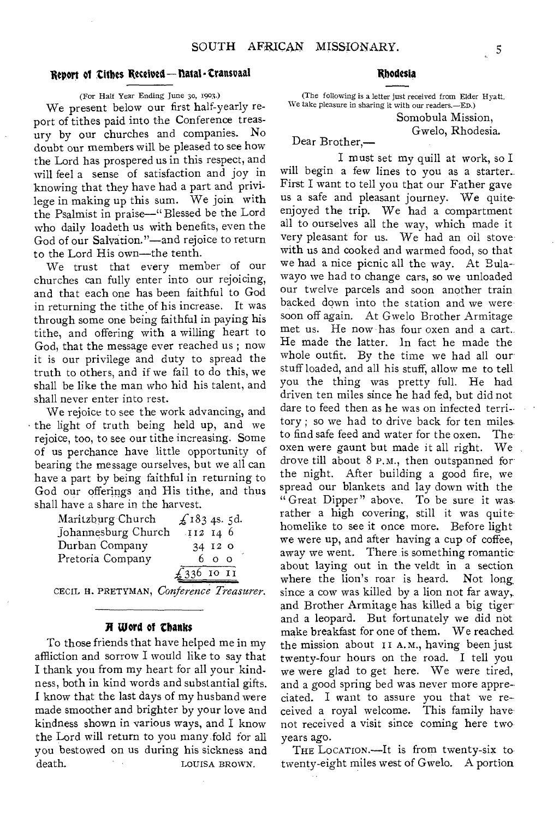#### Report of Cithes Received-hatal - Cransvaal

(For Half Year Ending June 3o, 1903.)

We present below our first half-yearly report of tithes paid into the Conference treasury by our churches and companies. No doubt our members will be pleased to see how the Lord has prospered us in this respect, and will feel a sense of satisfaction and joy in knowing that they have had a part and privilege in making up this sum. We join with the Psalmist in praise—" Blessed be the Lord who daily loadeth us with benefits, even the God of our Salvation."—and rejoice to return to the Lord His own—the tenth.

We trust that every member of our churches can fully enter into our rejoicing, and that each one has been faithful to God in returning the tithe of his increase. It was through some one being faithful in paying his tithe, and offering with a willing heart to God, that the message ever reached us ; now it is our privilege and duty to spread the truth to others, and if we fail to do this, we shall be like the man who hid his talent, and shall never enter into rest.

We rejoice to see the work advancing, and • the light of truth being held up, and we rejoice, too, to see our tithe increasing. Some of us perchance have little opportunity of bearing the message ourselves, but we all can have a part by being faithful in returning to God our offerings and His tithe, and thus shall have a share in the harvest.

| Maritzburg Church   | £1834s.5d.   |
|---------------------|--------------|
| Johannesburg Church | II2 14 6     |
| Durban Company      | 34 12 0      |
| Pretoria Company    | 600          |
|                     | $£336$ 10 11 |

CECIL H. PRETYMAN, *Conference Treasurer.* 

#### Word of thanks

To those friends that have helped me in my affliction and sorrow I would like to say that I thank you from my heart for all your kindness, both in kind words and substantial gifts. I know that the last days of my husband were made smoother and brighter by your love and kindness shown in various ways, and I know the Lord will return to you many, fold for all you bestowed on us during his sickness and death. LOUISA BROWN.

#### Rhodesia

(The following is a letter just received from Elder Hyatt. We take pleasure in sharing it with our readers.—ED.)

Somobula Mission, Gwelo, Rhodesia.

Dear Brother,—

I must set my quill at work, so I will begin a few lines to you as a starter. First I want to tell you that our Father gave us a safe and pleasant journey. We quiteenjoyed the trip. We had a compartment all to ourselves all the way, which made it very pleasant for us. We had an oil stove with us and cooked and warmed food, so that we had a nice picnic all the way. At Bulawayo we had to change cars, so we unloaded our twelve parcels and soon another train backed down into the station and we were soon off again. At Gwelo Brother Armitage met us. He now has four oxen and a cart.. He made the latter. In fact he made the whole outfit. By the time we had all our stuff loaded, and all his stuff, allow me to tell you the thing was pretty full. He had driven ten miles since he had fed, but did not dare to feed then as he was on infected territory ; so we had to drive back for ten miles, to find safe feed and water for the oxen. Theoxen were gaunt but made it all right. We drove till about 8 P.M., then outspanned for the night. After building a good fire, we spread our blankets and lay down with the " Great Dipper" above, To be sure it wasrather a high covering, still it was quitehomelike to see it once more. Before light we were up, and after having a cup of coffee, away we went. There is something romantic about laying out in the veldt in a section<br>where the lion's roar is heard. Not long where the lion's roar is heard. since a cow was killed by a lion not far away, and Brother Armitage has killed a big tigerand a leopard. But fortunately we did nbt make breakfast for one of them. We reached the mission about II A.M., having been just twenty-four hours on the road. I tell you we were glad to get here. We were tired, and a good spring bed was never more appreciated. I want to assure you that we received a royal welcome. This family have not received a visit since coming here two years ago.

THE LOCATION.—It is from twenty-six to twenty-eight miles west of Gwelo. A portion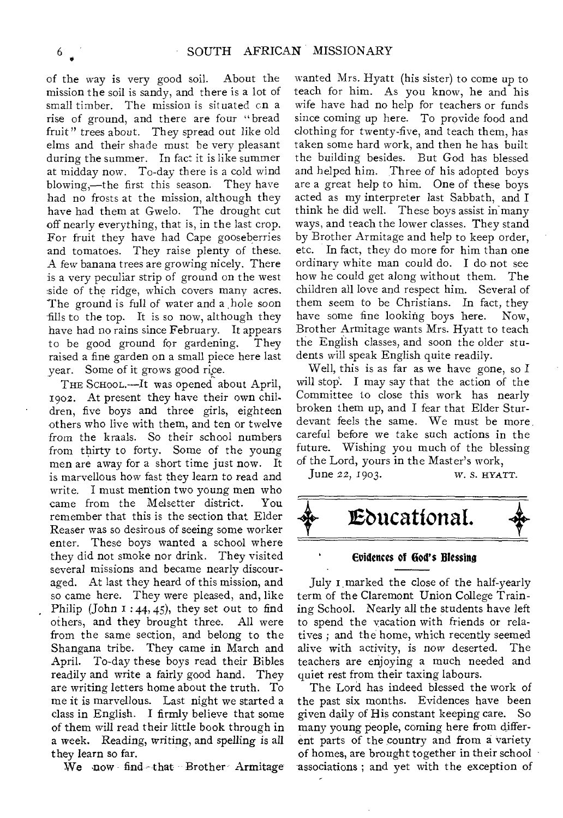of the way is very good soil. About the mission the soil is sandy, and there is a lot of small timber. The mission is situated on a rise of ground, and there are four "bread fruit" trees about. They spread out like old elms and their shade must be very pleasant during the summer. In fact it is like summer at midday now. To-day there is a cold wind blowing,—the first this season. They have had no frosts at the mission, although they have had them at Gwelo. The drought cut off nearly everything, that is, in the last crop. For fruit they have had Cape gooseberries and tomatoes. They raise plenty of these. A few banana trees are growing nicely. There is a very peculiar strip of ground on the west side of the ridge, which covers many acres. The ground is full of water and a hole soon fills to the top. It is so now, although they have had no rains since February. It appears to be good ground for gardening. They raised a fine garden on a small piece here last year. Some of it grows good rice.

THE SCHOOL.-It was opened about April, 1902. At present they have their own children, five boys and three girls, eighteen others who live with them, and ten or twelve from the kraals. So their school numbers from thirty to forty. Some of the young men are away for a short time just now. It is marvellous how fast they learn to read and write. I must mention two young men who came from the Melsetter district. You remember that this is the section that Elder Reaser was so desirous of seeing some worker enter. These boys wanted a school where they did not smoke nor drink. They visited several missions and became nearly discouraged. At last they heard of this mission, and so came here. They were pleased, and, like Philip (John  $I : 44, 45$ ), they set out to find others, and they brought three. All were others, and they brought three. from the same section, and belong to the Shangana tribe. They came in March and April. To-day these boys read their Bibles readily and write a fairly good hand. They are writing letters home about the truth. To me it is marvellous. Last night we started a class in English. I firmly believe that some of them will read their little book through in a week. Reading, writing, and spelling is all they learn so far.

We now find that Brother Armitage

wanted Mrs. Hyatt (his sister) to come up to teach for him. As you know, he and his wife have had no help for teachers or funds since coming up here. To provide food and clothing for twenty-five, and teach them, has taken some hard work, and then he has built the building besides. But God has blessed and helped him. Three of his adopted boys are a great help to him. One of these boys acted as my interpreter last Sabbath, and I think he did well. These boys assist in ways, and teach the lower classes. They stand by Brother Armitage and help to keep order, etc. In fact, they do more for him than one ordinary white man could do. I do not see how he could get along without them. The children all love and respect him. Several of them seem to be Christians. In fact, they have some fine looking boys here. Now, Brother Armitage wants Mrs. Hyatt to teach the English classes, and soon the older students will speak English quite readily.

Well, this is as far as we have gone, so I will stop. I may say that the action of the Committee to close this work has nearly broken them up, and I fear that Elder Sturdevant feels the same. We must be more careful before we take such actions in the future. Wishing you much of the blessing of the Lord, yours in the Master's work,

June 22, 1903. *W. S. HYATT.* 



#### Evidences of God's Blessing

July marked the close of the half-yearly term of the Claremont Union College Training School. Nearly all the students have left to spend the vacation with friends or relatives ; and the home, which recently seemed alive with activity, is now deserted. The teachers are enjoying a much needed and quiet rest from their taxing labours.

The Lord has indeed blessed the work of the past six months. Evidences have been given daily of His constant keeping care. So many young people, coming here from different parts of the country and from a variety of homes, are brought together in their school associations ; and yet with the exception of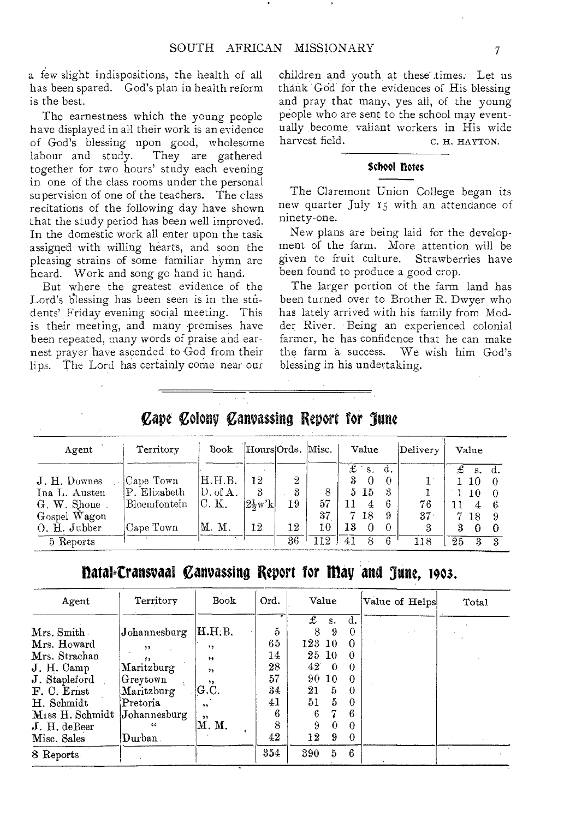a few slight indispositions, the health of all has been spared. God's plan in health reform is the best.

The earnestness which the young people have displayed in all their work is an evidence of God's blessing upon good, wholesome labour and study. They are gathered together for two hours' study each evening in one of the class rooms under the personal supervision of one of the teachers. The class recitations of the following day have shown that the study period has been well improved. In the domestic work all enter upon the task assigned with willing hearts, and soon the pleasing strains of some familiar hymn are heard. Work and song go hand in hand.

But where the greatest evidence of the Lord's blessing has been seen is in the students' Friday evening social meeting. This is their meeting, and many promises have been repeated, many words of praise and earnest prayer have ascended to God from their lips. The Lord has certainly come near our children and youth at these" times. Let us thank God for the evidences of His blessing and pray that many, yes all, of the young people who are sent to the school may eventually become, valiant workers in His wide harvest field. C. H. HAYTON.

#### School notes

The Claremont Union College began its new quarter July Is with an attendance of ninety-one.

New plans are being laid for the development of the farm. More attention will be given to fruit culture. Strawberries have been found to produce a good crop.

The larger portion of the farm land has been turned over to Brother R. Dwyer who has lately arrived with his family from Modder River. Being an experienced colonial farmer, he has confidence that he can make the farm a success. We wish him God's blessing in his undertaking.

### Cape Colony Canvassing Report for June

| Agent         | Territory    | Book                | HoursOrds. Misc.    |    |     | Value              | Delivery | Value              |
|---------------|--------------|---------------------|---------------------|----|-----|--------------------|----------|--------------------|
|               |              |                     |                     |    |     | £<br>d.<br>$S_{-}$ |          | £<br>S.<br>d.      |
| J. H. Downes  | Cape Town    | H.H.B.              | 12                  | 2  |     | 3<br>$\Omega$      |          | 10                 |
| Ina L. Austen | P. Elizabeth | $D. \text{ of } A.$ | 3                   | 3  | 8   | 5 15<br>3          |          | 10                 |
| G. W. Shone   | Bloemfontein | C. K.               | $ 2\frac{1}{2}w'k $ | 19 | 57  | 6<br>11            | 76       | ß<br>4             |
| Gospel Wagon  |              |                     |                     |    | 37  | 7 18<br>9          | 37       | 7<br>18            |
| O. H. Jubber  | Cape Town    | М. М.               | 12                  | 12 | 10  | 13<br>$\Omega$     | 3        | З<br>0<br>$\theta$ |
| 5 Reports     |              |                     |                     | 36 | 112 | -6<br>8<br>41      | 118      | 25<br>3            |

## llatal.Craitsvaal Canvassing Report for may and June, **1903.**

| Agent                                                                                                                     | Territory                                                                                  | Book                                                        | Ord.                                       | Value                                                                                                                                                                                        | Value of Helps | Total |
|---------------------------------------------------------------------------------------------------------------------------|--------------------------------------------------------------------------------------------|-------------------------------------------------------------|--------------------------------------------|----------------------------------------------------------------------------------------------------------------------------------------------------------------------------------------------|----------------|-------|
| Mrs. Smith<br>Mrs. Howard<br>Mrs. Strachan<br>J. H. Camp<br>J. Stapleford<br>F. C. Ernst<br>H. Schmidt<br>Miss H. Schmidt | $J$ ohannesburg<br>,,<br>Maritzburg<br>Greytown<br>Maritzburg<br>Pretoria.<br>Johannesburg | H.H.B.<br>,,<br>,,<br>.35<br>, ,<br> G.C. <br>$, \,$<br>, , | 5<br>65<br>14<br>28<br>57<br>34<br>41<br>6 | £<br>d.<br>S.<br>8<br>9<br>0<br>123 10<br>$\Omega$<br>25 10<br>$\theta$<br>$42^{\circ}$<br>$\Omega$<br>$\theta$<br>90 10<br>$\Omega$<br>21<br>5<br>$\theta$<br>5<br>51<br>$\Omega$<br>6<br>6 |                |       |
| $J. H.$ de Beer<br>Misc. Sales<br>8 Reports                                                                               | 66<br>Durban .                                                                             | М. М.                                                       | 8<br>42<br>354                             | 9<br>$\Omega$<br>0<br>12<br>9<br>$\Omega$<br>-6<br>390<br>5                                                                                                                                  |                |       |